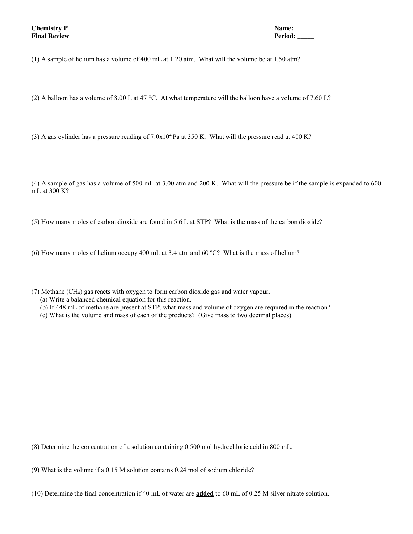**Chemistry P Name: \_\_\_\_\_\_\_\_\_\_\_\_\_\_\_\_\_\_\_\_\_\_\_\_\_ Final Review Period: \_\_\_\_\_**

(1) A sample of helium has a volume of 400 mL at 1.20 atm. What will the volume be at 1.50 atm?

(2) A balloon has a volume of 8.00 L at 47 °C. At what temperature will the balloon have a volume of 7.60 L?

(3) A gas cylinder has a pressure reading of  $7.0x10^4$  Pa at 350 K. What will the pressure read at 400 K?

(4) A sample of gas has a volume of 500 mL at 3.00 atm and 200 K. What will the pressure be if the sample is expanded to 600 mL at 300 K?

(5) How many moles of carbon dioxide are found in 5.6 L at STP? What is the mass of the carbon dioxide?

(6) How many moles of helium occupy 400 mL at 3.4 atm and 60 ºC? What is the mass of helium?

(7) Methane (CH4) gas reacts with oxygen to form carbon dioxide gas and water vapour.

- (a) Write a balanced chemical equation for this reaction.
- (b) If 448 mL of methane are present at STP, what mass and volume of oxygen are required in the reaction?
- (c) What is the volume and mass of each of the products? (Give mass to two decimal places)

(8) Determine the concentration of a solution containing 0.500 mol hydrochloric acid in 800 mL.

(9) What is the volume if a 0.15 M solution contains 0.24 mol of sodium chloride?

(10) Determine the final concentration if 40 mL of water are **added** to 60 mL of 0.25 M silver nitrate solution.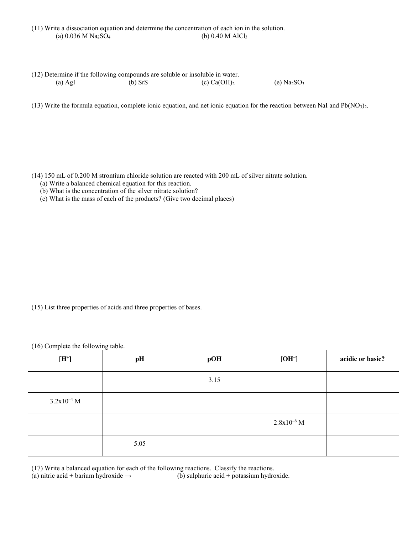|                                               | (11) Write a dissociation equation and determine the concentration of each ion in the solution. |
|-----------------------------------------------|-------------------------------------------------------------------------------------------------|
| (a) $0.036$ M Na <sub>2</sub> SO <sub>4</sub> | (b) $0.40$ M AlCl <sub>3</sub>                                                                  |

| (12) Determine if the following compounds are soluble or insoluble in water. |           |                |              |
|------------------------------------------------------------------------------|-----------|----------------|--------------|
| $(a)$ AgI                                                                    | $(b)$ SrS | (c) $Ca(OH)_2$ | (e) $Na2SO3$ |

(13) Write the formula equation, complete ionic equation, and net ionic equation for the reaction between NaI and  $Pb(NO<sub>3</sub>)<sub>2</sub>$ .

(14) 150 mL of 0.200 M strontium chloride solution are reacted with 200 mL of silver nitrate solution.

- (a) Write a balanced chemical equation for this reaction.
- (b) What is the concentration of the silver nitrate solution?
- (c) What is the mass of each of the products? (Give two decimal places)

(15) List three properties of acids and three properties of bases.

(16) Complete the following table.

| $[H^*]$         | pH   | pOH  | $[OH^-]$        | acidic or basic? |
|-----------------|------|------|-----------------|------------------|
|                 |      | 3.15 |                 |                  |
| $3.2x10^{-4}$ M |      |      |                 |                  |
|                 |      |      | $2.8x10^{-6}$ M |                  |
|                 | 5.05 |      |                 |                  |

(17) Write a balanced equation for each of the following reactions. Classify the reactions.

(a) nitric acid + barium hydroxide  $\rightarrow$  (b) sulphuric acid + potassium hydroxide.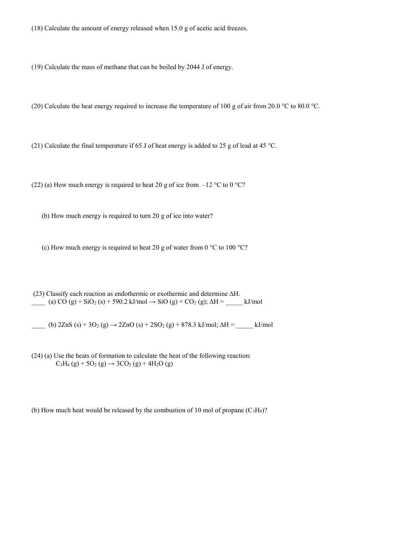(18) Calculate the amount of energy released when 15.0 g of acetic acid freezes.

(19) Calculate the mass of methane that can be boiled by 2044 J of energy.

(20) Calculate the heat energy required to increase the temperature of 100 g of air from 20.0 °C to 80.0 °C.

(21) Calculate the final temperature if 65 J of heat energy is added to 25 g of lead at 45 °C.

(22) (a) How much energy is required to heat 20 g of ice from  $-12 \degree C$  to 0  $\degree C$ ?

(b) How much energy is required to turn 20 g of ice into water?

(c) How much energy is required to heat 20 g of water from 0  $\degree$ C to 100  $\degree$ C?

(23) Classify each reaction as endothermic or exothermic and determine ∆H.  $\frac{1}{\sqrt{2}}$  (a) CO (g) + SiO<sub>2</sub> (s) + 590.2 kJ/mol → SiO (g) + CO<sub>2</sub> (g);  $\Delta H = \frac{1}{\sqrt{2}}$ kJ/mol

 $\frac{1}{2}$  (b) 2ZnS (s) + 3O<sub>2</sub> (g) → 2ZnO (s) + 2SO<sub>2</sub> (g) + 878.3 kJ/mol;  $\Delta H = \frac{1}{2}$ kJ/mol

(24) (a) Use the heats of formation to calculate the heat of the following reaction:  $C_3H_8(g) + 5O_2(g) \rightarrow 3CO_2(g) + 4H_2O(g)$ 

(b) How much heat would be released by the combustion of 10 mol of propane  $(C_3H_8)$ ?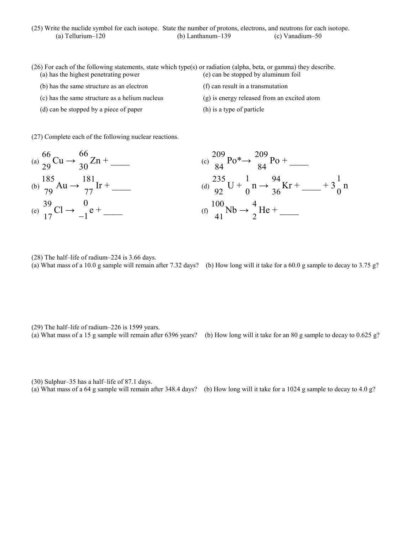| (25) Write the nuclide symbol for each isotope. State the number of protons, electrons, and neutrons for each isotope. |                      |                 |
|------------------------------------------------------------------------------------------------------------------------|----------------------|-----------------|
| (a) Tellurium $-120$                                                                                                   | (b) Lanthanum $-139$ | (c) Vanadium–50 |

- (26) For each of the following statements, state which type(s) or radiation (alpha, beta, or gamma) they describe. (a) has the highest penetrating power (e) can be stopped by aluminum foil
	- (b) has the same structure as an electron
	- (c) has the same structure as a helium nucleus
	- (d) can be stopped by a piece of paper
- (f) can result in a transmutation
- (g) is energy released from an excited atom
- (h) is a type of particle
- (27) Complete each of the following nuclear reactions.



- (28) The half–life of radium–224 is 3.66 days.
- 

(a) What mass of a 10.0 g sample will remain after 7.32 days? (b) How long will it take for a 60.0 g sample to decay to 3.75 g?

- (29) The half–life of radium–226 is 1599 years.
- 
- (a) What mass of a 15 g sample will remain after 6396 years? (b) How long will it take for an 80 g sample to decay to  $0.625$  g?
- (30) Sulphur–35 has a half–life of 87.1 days.
- (a) What mass of a 64 g sample will remain after 348.4 days? (b) How long will it take for a 1024 g sample to decay to 4.0 g?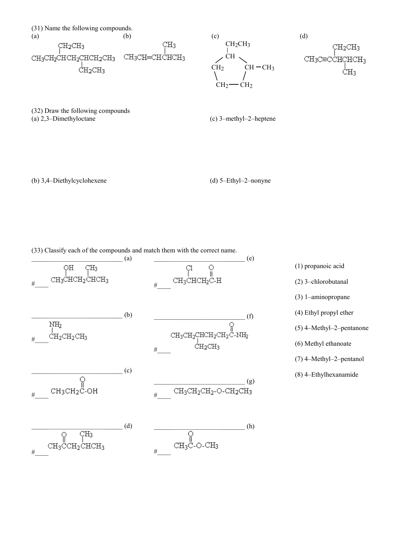

(32) Draw the following compounds (a) 2,3–Dimethyloctane

(c) 3–methyl–2–heptene

(b) 3,4–Diethylcyclohexene

(d) 5–Ethyl–2–nonyne

(33) Classify each of the compounds and match them with the correct name.



(1) propanoic acid (2) 3–chlorobutanal (3) 1–aminopropane (4) Ethyl propyl ether (5) 4–Methyl–2–pentanone (6) Methyl ethanoate (7) 4–Methyl–2–pentanol (8) 4–Ethylhexanamide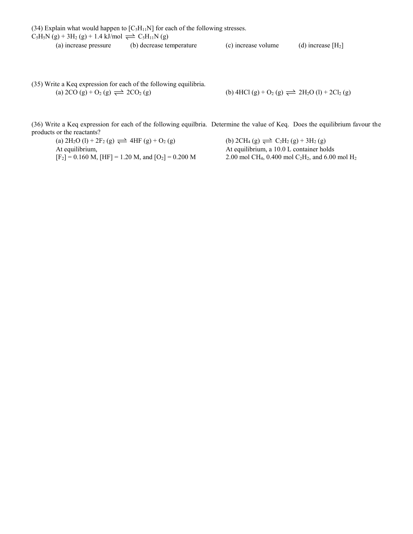(34) Explain what would happen to  $[C_5H_{11}N]$  for each of the following stresses.  $C_5H_5N(g) + 3H_2(g) + 1.4 \text{ kJ/mol} \rightleftharpoons C_5H_{11}N(g)$ 

(a) increase pressure (b) decrease temperature (c) increase volume (d) increase  $[H_2]$ 

(35) Write a Keq expression for each of the following equilibria. (a)  $2CO (g) + O_2 (g) \rightleftharpoons 2CO_2 (g)$ 

(b) 4HCl (g) + O<sub>2</sub> (g) 
$$
\implies
$$
 2H<sub>2</sub>O (l) + 2Cl<sub>2</sub> (g)

(36) Write a Keq expression for each of the following equilbria. Determine the value of Keq. Does the equilibrium favour the products or the reactants?

(a)  $2H_2O (l) + 2F_2 (g) \rightleftharpoons 4HF (g) + O_2 (g)$  (b)  $2CH_4 (g) \rightleftharpoons C_2H_2 (g) + 3H_2 (g)$ At equilibrium, <br>At equilibrium, a 10.0 L container holds<br> $[F_2] = 0.160$  M,  $[HF] = 1.20$  M, and  $[O_2] = 0.200$  M<br>2.00 mol CH<sub>4</sub>, 0.400 mol C<sub>2</sub>H<sub>2</sub>, and 6.00

2.00 mol CH<sub>4</sub>, 0.400 mol C<sub>2</sub>H<sub>2</sub>, and 6.00 mol H<sub>2</sub>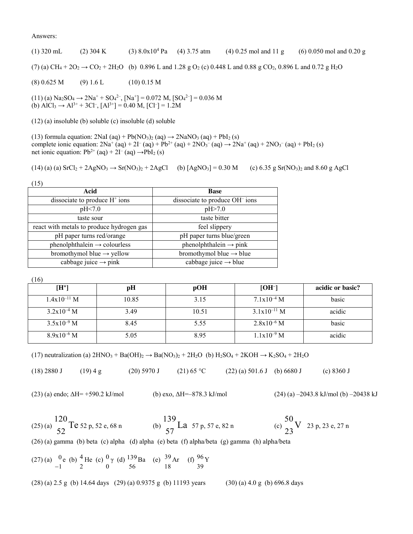## Answers:

(1) 320 mL (2) 304 K (3) 8.0x104 Pa (4) 3.75 atm (4) 0.25 mol and 11 g (6) 0.050 mol and 0.20 g (7) (a) CH<sub>4</sub> + 2O<sub>2</sub>  $\rightarrow$  CO<sub>2</sub> + 2H<sub>2</sub>O (b) 0.896 L and 1.28 g O<sub>2</sub> (c) 0.448 L and 0.88 g CO<sub>2</sub>, 0.896 L and 0.72 g H<sub>2</sub>O  $(8) 0.625 M$  (9) 1.6 L (10) 0.15 M  $(11)$  (a) Na<sub>2</sub>SO<sub>4</sub>  $\rightarrow$  2Na<sup>+</sup> + SO<sub>4</sub><sup>2-</sup>, [Na<sup>+</sup>] = 0.072 M, [SO<sub>4</sub><sup>2-</sup>] = 0.036 M

(b)  $\text{AlCl}_3 \rightarrow \text{Al}^{3+} + 3\text{Cl}^-, [\text{Al}^{3+}] = 0.40 \text{ M}, [\text{Cl}^-] = 1.2 \text{M}$ 

(12) (a) insoluble (b) soluble (c) insoluble (d) soluble

(13) formula equation:  $2\text{NaI (aq)} + \text{Pb}(\text{NO}_3)_2 \text{ (aq)} \rightarrow 2\text{NaNO}_3 \text{ (aq)} + \text{PbI}_2 \text{ (s)}$ complete ionic equation:  $2Na^{+}(aq) + 2I^{-}(aq) + Pb^{2+}(aq) + 2NO_3^{-}(aq) \rightarrow 2Na^{+}(aq) + 2NO_3^{-}(aq) + PbI_2(s)$ net ionic equation:  $Pb^{2+}$  (aq) + 2I<sup>-</sup> (aq)  $\rightarrow$  PbI<sub>2</sub> (s)

 $(14)$  (a) (a)  $SrCl<sub>2</sub> + 2AgNO<sub>3</sub> \rightarrow Sr(NO<sub>3</sub>)<sub>2</sub> + 2AgCl$  (b)  $[AgNO<sub>3</sub>] = 0.30 M$  (c) 6.35 g  $Sr(NO<sub>3</sub>)<sub>2</sub>$  and 8.60 g AgCl

| (15)                                      |                                            |
|-------------------------------------------|--------------------------------------------|
| Acid                                      | <b>Base</b>                                |
| dissociate to produce $H^+$ ions          | dissociate to produce OH <sup>-</sup> ions |
| pH<7.0                                    | pH > 7.0                                   |
| taste sour                                | taste bitter                               |
| react with metals to produce hydrogen gas | feel slippery                              |
| pH paper turns red/orange                 | pH paper turns blue/green                  |
| $phenolphthalein \rightarrow colourless$  | phenolphthalein $\rightarrow$ pink         |
| bromothymol blue $\rightarrow$ yellow     | bromothymol blue $\rightarrow$ blue        |
| cabbage juice $\rightarrow$ pink          | cabbage juice $\rightarrow$ blue           |

(16)

| $[H^+]$          | pH    | pOH   | $[OH^-]$         | acidic or basic? |
|------------------|-------|-------|------------------|------------------|
| $1.4x10^{-11}$ M | 10.85 | 3.15  | $7.1x10^{-4}$ M  | basic            |
| $3.2x10^{-4}$ M  | 3.49  | 10.51 | $3.1x10^{-11}$ M | acidic           |
| $3.5x10^{-9}$ M  | 8.45  | 5.55  | $2.8x10^{-6}$ M  | basic            |
| $8.9x10^{-6}$ M  | 5.05  | 8.95  | $1.1x10^{-9}$ M  | acidic           |

(17) neutralization (a)  $2HNO_3 + Ba(OH)_2 \rightarrow Ba(NO_3)_2 + 2H_2O$  (b)  $H_2SO_4 + 2KOH \rightarrow K_2SO_4 + 2H_2O$ 

(18) 2880 J (19) 4 g (20) 5970 J (21) 65 °C (22) (a) 501.6 J (b) 6680 J (c) 8360 J

(23) (a) endo; ΔH= +590.2 kJ/mol (b) exo, ΔH=–878.3 kJ/mol (24) (a) –2043.8 kJ/mol (b) –20438 kJ

(25) (a) 120 52  $Te 52 p, 52 e, 68 n$  (b) 139 57 La  $57 p, 57 e, 82 n$  (c) 50 23 V 23 p, 23 e, 27 n (26) (a) gamma (b) beta (c) alpha (d) alpha (e) beta (f) alpha/beta (g) gamma (h) alpha/beta  $(27)$  (a)  $0$ 1 e (b)  $<sup>4</sup>$ </sup> 2 He (c)  $^0$ 0 γ (d)  $139$ 56 Ba (e)  $39$ 18 Ar (f)  $96$ 39 Y (28) (a) 2.5 g (b) 14.64 days (29) (a) 0.9375 g (b) 11193 years (30) (a) 4.0 g (b) 696.8 days